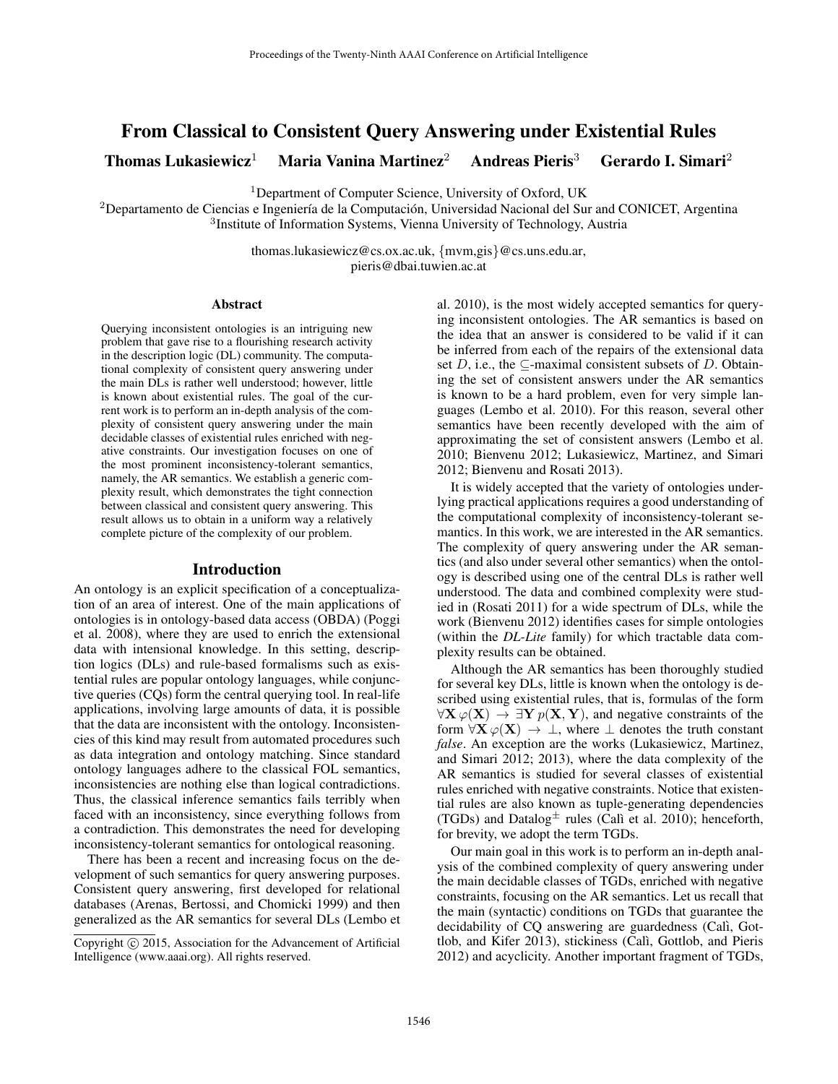# From Classical to Consistent Query Answering under Existential Rules

Thomas Lukasiewicz<sup>1</sup> Maria Vanina Martinez<sup>2</sup> Andreas Pieris<sup>3</sup> Gerardo I. Simari<sup>2</sup>

<sup>1</sup>Department of Computer Science, University of Oxford, UK

 ${}^{2}$ Departamento de Ciencias e Ingeniería de la Computación, Universidad Nacional del Sur and CONICET, Argentina 3 Institute of Information Systems, Vienna University of Technology, Austria

> thomas.lukasiewicz@cs.ox.ac.uk, {mvm,gis}@cs.uns.edu.ar, pieris@dbai.tuwien.ac.at

#### Abstract

Querying inconsistent ontologies is an intriguing new problem that gave rise to a flourishing research activity in the description logic (DL) community. The computational complexity of consistent query answering under the main DLs is rather well understood; however, little is known about existential rules. The goal of the current work is to perform an in-depth analysis of the complexity of consistent query answering under the main decidable classes of existential rules enriched with negative constraints. Our investigation focuses on one of the most prominent inconsistency-tolerant semantics, namely, the AR semantics. We establish a generic complexity result, which demonstrates the tight connection between classical and consistent query answering. This result allows us to obtain in a uniform way a relatively complete picture of the complexity of our problem.

#### Introduction

An ontology is an explicit specification of a conceptualization of an area of interest. One of the main applications of ontologies is in ontology-based data access (OBDA) (Poggi et al. 2008), where they are used to enrich the extensional data with intensional knowledge. In this setting, description logics (DLs) and rule-based formalisms such as existential rules are popular ontology languages, while conjunctive queries (CQs) form the central querying tool. In real-life applications, involving large amounts of data, it is possible that the data are inconsistent with the ontology. Inconsistencies of this kind may result from automated procedures such as data integration and ontology matching. Since standard ontology languages adhere to the classical FOL semantics, inconsistencies are nothing else than logical contradictions. Thus, the classical inference semantics fails terribly when faced with an inconsistency, since everything follows from a contradiction. This demonstrates the need for developing inconsistency-tolerant semantics for ontological reasoning.

There has been a recent and increasing focus on the development of such semantics for query answering purposes. Consistent query answering, first developed for relational databases (Arenas, Bertossi, and Chomicki 1999) and then generalized as the AR semantics for several DLs (Lembo et

al. 2010), is the most widely accepted semantics for querying inconsistent ontologies. The AR semantics is based on the idea that an answer is considered to be valid if it can be inferred from each of the repairs of the extensional data set D, i.e., the  $\subseteq$ -maximal consistent subsets of D. Obtaining the set of consistent answers under the AR semantics is known to be a hard problem, even for very simple languages (Lembo et al. 2010). For this reason, several other semantics have been recently developed with the aim of approximating the set of consistent answers (Lembo et al. 2010; Bienvenu 2012; Lukasiewicz, Martinez, and Simari 2012; Bienvenu and Rosati 2013).

It is widely accepted that the variety of ontologies underlying practical applications requires a good understanding of the computational complexity of inconsistency-tolerant semantics. In this work, we are interested in the AR semantics. The complexity of query answering under the AR semantics (and also under several other semantics) when the ontology is described using one of the central DLs is rather well understood. The data and combined complexity were studied in (Rosati 2011) for a wide spectrum of DLs, while the work (Bienvenu 2012) identifies cases for simple ontologies (within the *DL-Lite* family) for which tractable data complexity results can be obtained.

Although the AR semantics has been thoroughly studied for several key DLs, little is known when the ontology is described using existential rules, that is, formulas of the form  $\forall X \varphi(X) \rightarrow \exists Y p(X, Y)$ , and negative constraints of the form  $\forall X \varphi(X) \rightarrow \bot$ , where  $\bot$  denotes the truth constant *false*. An exception are the works (Lukasiewicz, Martinez, and Simari 2012; 2013), where the data complexity of the AR semantics is studied for several classes of existential rules enriched with negative constraints. Notice that existential rules are also known as tuple-generating dependencies (TGDs) and Datalog<sup> $\pm$ </sup> rules (Calì et al. 2010); henceforth, for brevity, we adopt the term TGDs.

Our main goal in this work is to perform an in-depth analysis of the combined complexity of query answering under the main decidable classes of TGDs, enriched with negative constraints, focusing on the AR semantics. Let us recall that the main (syntactic) conditions on TGDs that guarantee the decidability of CQ answering are guardedness (Calì, Gottlob, and Kifer 2013), stickiness (Calì, Gottlob, and Pieris 2012) and acyclicity. Another important fragment of TGDs,

Copyright (c) 2015, Association for the Advancement of Artificial Intelligence (www.aaai.org). All rights reserved.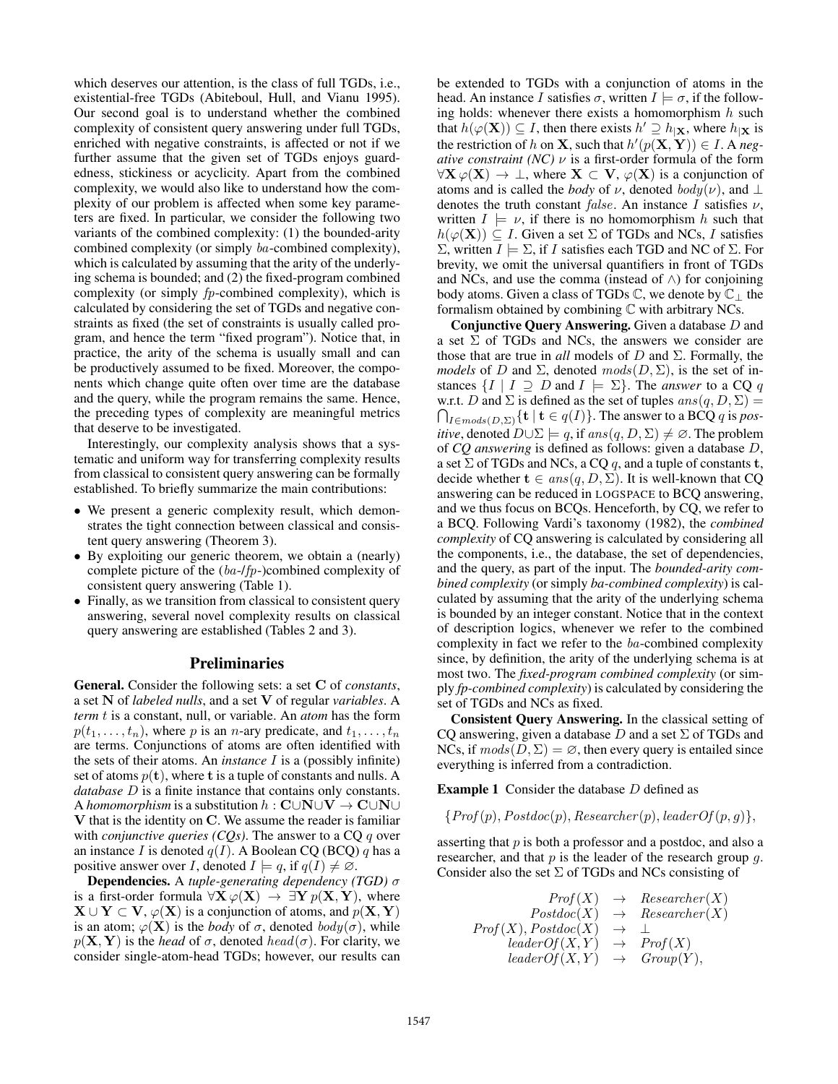which deserves our attention, is the class of full TGDs, i.e., existential-free TGDs (Abiteboul, Hull, and Vianu 1995). Our second goal is to understand whether the combined complexity of consistent query answering under full TGDs, enriched with negative constraints, is affected or not if we further assume that the given set of TGDs enjoys guardedness, stickiness or acyclicity. Apart from the combined complexity, we would also like to understand how the complexity of our problem is affected when some key parameters are fixed. In particular, we consider the following two variants of the combined complexity: (1) the bounded-arity combined complexity (or simply ba-combined complexity), which is calculated by assuming that the arity of the underlying schema is bounded; and (2) the fixed-program combined complexity (or simply  $fp$ -combined complexity), which is calculated by considering the set of TGDs and negative constraints as fixed (the set of constraints is usually called program, and hence the term "fixed program"). Notice that, in practice, the arity of the schema is usually small and can be productively assumed to be fixed. Moreover, the components which change quite often over time are the database and the query, while the program remains the same. Hence, the preceding types of complexity are meaningful metrics that deserve to be investigated.

Interestingly, our complexity analysis shows that a systematic and uniform way for transferring complexity results from classical to consistent query answering can be formally established. To briefly summarize the main contributions:

- We present a generic complexity result, which demonstrates the tight connection between classical and consistent query answering (Theorem 3).
- By exploiting our generic theorem, we obtain a (nearly) complete picture of the (ba-/fp-)combined complexity of consistent query answering (Table 1).
- Finally, as we transition from classical to consistent query answering, several novel complexity results on classical query answering are established (Tables 2 and 3).

## Preliminaries

General. Consider the following sets: a set C of *constants*, a set N of *labeled nulls*, and a set V of regular *variables*. A *term* t is a constant, null, or variable. An *atom* has the form  $p(t_1, \ldots, t_n)$ , where p is an n-ary predicate, and  $t_1, \ldots, t_n$ are terms. Conjunctions of atoms are often identified with the sets of their atoms. An *instance* I is a (possibly infinite) set of atoms  $p(t)$ , where t is a tuple of constants and nulls. A *database* D is a finite instance that contains only constants. A *homomorphism* is a substitution  $h : \mathbf{C} \cup \mathbf{N} \cup \mathbf{V} \rightarrow \mathbf{C} \cup \mathbf{N} \cup$ V that is the identity on C. We assume the reader is familiar with *conjunctive queries (CQs)*. The answer to a CQ q over an instance I is denoted  $q(I)$ . A Boolean CQ (BCQ) q has a positive answer over *I*, denoted  $I \models q$ , if  $q(I) \neq \emptyset$ .

Dependencies. A *tuple-generating dependency (TGD)* σ is a first-order formula  $\forall X \varphi(X) \rightarrow \exists Y p(X, Y)$ , where  $X \cup Y \subset V$ ,  $\varphi(X)$  is a conjunction of atoms, and  $p(X, Y)$ is an atom;  $\varphi(\mathbf{X})$  is the *body* of  $\sigma$ , denoted  $body(\sigma)$ , while  $p(X, Y)$  is the *head* of  $\sigma$ , denoted *head*( $\sigma$ ). For clarity, we consider single-atom-head TGDs; however, our results can

be extended to TGDs with a conjunction of atoms in the head. An instance I satisfies  $\sigma$ , written  $I \models \sigma$ , if the following holds: whenever there exists a homomorphism  $h$  such that  $h(\varphi(\mathbf{X})) \subseteq I$ , then there exists  $h' \supseteq h_{|\mathbf{X}}$ , where  $h_{|\mathbf{X}}$  is the restriction of h on **X**, such that  $h'(p(X, Y)) \in I$ . A neg*ative constraint (NC)*  $\nu$  is a first-order formula of the form  $\forall X \varphi(X) \rightarrow \bot$ , where  $X \subset V$ ,  $\varphi(X)$  is a conjunction of atoms and is called the *body* of  $\nu$ , denoted  $\text{body}(\nu)$ , and  $\perp$ denotes the truth constant false. An instance I satisfies  $\nu$ , written  $I \models \nu$ , if there is no homomorphism h such that  $h(\varphi(\mathbf{X})) \subset I$ . Given a set  $\Sigma$  of TGDs and NCs, I satisfies  $Σ$ , written  $I \models Σ$ , if I satisfies each TGD and NC of Σ. For brevity, we omit the universal quantifiers in front of TGDs and NCs, and use the comma (instead of  $\wedge$ ) for conjoining body atoms. Given a class of TGDs  $\mathbb C$ , we denote by  $\mathbb C$  the formalism obtained by combining C with arbitrary NCs.

Conjunctive Query Answering. Given a database D and a set  $\Sigma$  of TGDs and NCs, the answers we consider are those that are true in *all* models of  $D$  and  $\Sigma$ . Formally, the *models* of D and  $\Sigma$ , denoted  $mods(D, \Sigma)$ , is the set of instances  $\{I \mid I \supseteq D \text{ and } I \models \Sigma\}$ . The *answer* to a CQ q w.r.t. D and  $\Sigma$  is defined as the set of tuples  $ans(q, D, \Sigma)$  =  $\bigcap_{I \in mod s(D, \Sigma)} \{ {\bf t} \mid {\bf t} \in q(I) \}.$  The answer to a BCQ  $q$  is *positive*, denoted  $D \cup \Sigma \models q$ , if  $ans(q, D, \Sigma) \neq \emptyset$ . The problem of *CQ answering* is defined as follows: given a database D, a set  $\Sigma$  of TGDs and NCs, a CQ q, and a tuple of constants t, decide whether  $\mathbf{t} \in ans(q, D, \Sigma)$ . It is well-known that CQ answering can be reduced in LOGSPACE to BCQ answering, and we thus focus on BCQs. Henceforth, by CQ, we refer to a BCQ. Following Vardi's taxonomy (1982), the *combined complexity* of CQ answering is calculated by considering all the components, i.e., the database, the set of dependencies, and the query, as part of the input. The *bounded-arity combined complexity* (or simply *ba-combined complexity*) is calculated by assuming that the arity of the underlying schema is bounded by an integer constant. Notice that in the context of description logics, whenever we refer to the combined complexity in fact we refer to the ba-combined complexity since, by definition, the arity of the underlying schema is at most two. The *fixed-program combined complexity* (or simply *fp-combined complexity*) is calculated by considering the set of TGDs and NCs as fixed.

Consistent Query Answering. In the classical setting of CQ answering, given a database D and a set  $\Sigma$  of TGDs and NCs, if  $\textit{mods}(D, \Sigma) = \emptyset$ , then every query is entailed since everything is inferred from a contradiction.

**Example 1** Consider the database  $D$  defined as

 ${Prof(p), Postdoc(p), Researcher(p), leaderOf(p, q)}.$ 

asserting that  $p$  is both a professor and a postdoc, and also a researcher, and that  $p$  is the leader of the research group  $q$ . Consider also the set  $\Sigma$  of TGDs and NCs consisting of

$$
Prof(X) \rightarrow Researcher(X)
$$
  
\n
$$
Postdoc(X) \rightarrow Researcher(X)
$$
  
\n
$$
Prof(X), Postdoc(X) \rightarrow \bot
$$
  
\n
$$
leaderOf(X, Y) \rightarrow Prof(X)
$$
  
\n
$$
leaderOf(X, Y) \rightarrow Group(Y),
$$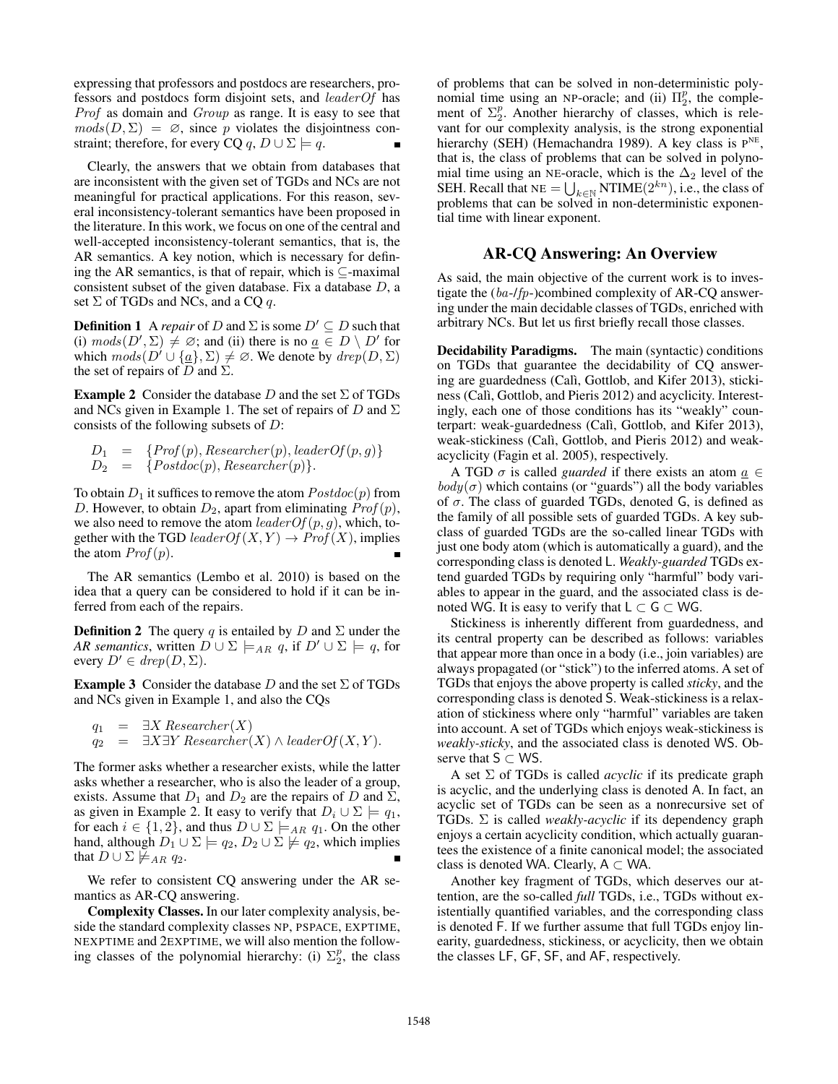expressing that professors and postdocs are researchers, professors and postdocs form disjoint sets, and leaderOf has Prof as domain and Group as range. It is easy to see that  $mods(D, \Sigma) = \emptyset$ , since p violates the disjointness constraint; therefore, for every CQ q,  $D \cup \Sigma \models q$ .

Clearly, the answers that we obtain from databases that are inconsistent with the given set of TGDs and NCs are not meaningful for practical applications. For this reason, several inconsistency-tolerant semantics have been proposed in the literature. In this work, we focus on one of the central and well-accepted inconsistency-tolerant semantics, that is, the AR semantics. A key notion, which is necessary for defining the AR semantics, is that of repair, which is ⊆-maximal consistent subset of the given database. Fix a database  $D$ , a set  $\Sigma$  of TGDs and NCs, and a CQ q.

**Definition 1** A *repair* of D and  $\Sigma$  is some  $D' \subseteq D$  such that (i)  $mods(D',\Sigma) \neq \emptyset$ ; and (ii) there is no  $\underline{a} \in D \setminus D'$  for which  $mods(D' \cup \{a\}, \Sigma) \neq \emptyset$ . We denote by  $drop(D, \Sigma)$ the set of repairs of D and  $\Sigma$ .

**Example 2** Consider the database D and the set  $\Sigma$  of TGDs and NCs given in Example 1. The set of repairs of D and  $\Sigma$ consists of the following subsets of D:

$$
D_1 = \{Prof(p), Researcher(p), leaderOf(p, g) \}
$$
  
\n
$$
D_2 = \{ Postdoc(p), Researcher(p) \}.
$$

To obtain  $D_1$  it suffices to remove the atom  $Postdoc(p)$  from D. However, to obtain  $D_2$ , apart from eliminating  $Prof(p)$ , we also need to remove the atom  $leaderOf(p, q)$ , which, together with the TGD leader  $Of(X, Y) \rightarrow Prof(X)$ , implies the atom  $Prof(p)$ .

The AR semantics (Lembo et al. 2010) is based on the idea that a query can be considered to hold if it can be inferred from each of the repairs.

**Definition 2** The query q is entailed by D and  $\Sigma$  under the *AR semantics*, written  $D \cup \Sigma \models_{AR} q$ , if  $D' \cup \Sigma \models q$ , for every  $D' \in \text{drop}(D, \Sigma)$ .

**Example 3** Consider the database D and the set  $\Sigma$  of TGDs and NCs given in Example 1, and also the CQs

$$
q_1 = \exists X \, Researcher(X)
$$
  
\n $q_2 = \exists X \exists Y \, Researcher(X) \land leaderOf(X, Y).$ 

The former asks whether a researcher exists, while the latter asks whether a researcher, who is also the leader of a group, exists. Assume that  $D_1$  and  $D_2$  are the repairs of D and  $\Sigma$ , as given in Example 2. It easy to verify that  $D_i \cup \Sigma \models q_1$ , for each  $i \in \{1, 2\}$ , and thus  $D \cup \Sigma \models_{AR} q_1$ . On the other hand, although  $D_1 \cup \Sigma \models q_2, D_2 \cup \Sigma \not\models q_2$ , which implies that  $D \cup \Sigma \not\models_{AR} q_2$ .

We refer to consistent CQ answering under the AR semantics as AR-CQ answering.

Complexity Classes. In our later complexity analysis, beside the standard complexity classes NP, PSPACE, EXPTIME, NEXPTIME and 2EXPTIME, we will also mention the following classes of the polynomial hierarchy: (i)  $\Sigma_2^p$ , the class

of problems that can be solved in non-deterministic polynomial time using an NP-oracle; and (ii)  $\Pi_2^p$ , the complement of  $\Sigma_2^p$ . Another hierarchy of classes, which is relevant for our complexity analysis, is the strong exponential hierarchy (SEH) (Hemachandra 1989). A key class is P<sup>NE</sup>, that is, the class of problems that can be solved in polynomial time using an NE-oracle, which is the  $\Delta_2$  level of the SEH. Recall that  $NE = \bigcup_{k \in \mathbb{N}} NTIME(2^{kn})$ , i.e., the class of problems that can be solved in non-deterministic exponential time with linear exponent.

## AR-CQ Answering: An Overview

As said, the main objective of the current work is to investigate the (ba-/fp-)combined complexity of AR-CQ answering under the main decidable classes of TGDs, enriched with arbitrary NCs. But let us first briefly recall those classes.

Decidability Paradigms. The main (syntactic) conditions on TGDs that guarantee the decidability of CQ answering are guardedness (Calì, Gottlob, and Kifer 2013), stickiness (Calì, Gottlob, and Pieris 2012) and acyclicity. Interestingly, each one of those conditions has its "weakly" counterpart: weak-guardedness (Calì, Gottlob, and Kifer 2013), weak-stickiness (Calì, Gottlob, and Pieris 2012) and weakacyclicity (Fagin et al. 2005), respectively.

A TGD  $\sigma$  is called *guarded* if there exists an atom  $a \in$  $body(\sigma)$  which contains (or "guards") all the body variables of  $\sigma$ . The class of guarded TGDs, denoted G, is defined as the family of all possible sets of guarded TGDs. A key subclass of guarded TGDs are the so-called linear TGDs with just one body atom (which is automatically a guard), and the corresponding class is denoted L. *Weakly-guarded* TGDs extend guarded TGDs by requiring only "harmful" body variables to appear in the guard, and the associated class is denoted WG. It is easy to verify that  $L \subset G \subset WG$ .

Stickiness is inherently different from guardedness, and its central property can be described as follows: variables that appear more than once in a body (i.e., join variables) are always propagated (or "stick") to the inferred atoms. A set of TGDs that enjoys the above property is called *sticky*, and the corresponding class is denoted S. Weak-stickiness is a relaxation of stickiness where only "harmful" variables are taken into account. A set of TGDs which enjoys weak-stickiness is *weakly-sticky*, and the associated class is denoted WS. Observe that  $S \subset WS$ .

A set Σ of TGDs is called *acyclic* if its predicate graph is acyclic, and the underlying class is denoted A. In fact, an acyclic set of TGDs can be seen as a nonrecursive set of TGDs. Σ is called *weakly-acyclic* if its dependency graph enjoys a certain acyclicity condition, which actually guarantees the existence of a finite canonical model; the associated class is denoted WA. Clearly,  $A \subset WA$ .

Another key fragment of TGDs, which deserves our attention, are the so-called *full* TGDs, i.e., TGDs without existentially quantified variables, and the corresponding class is denoted F. If we further assume that full TGDs enjoy linearity, guardedness, stickiness, or acyclicity, then we obtain the classes LF, GF, SF, and AF, respectively.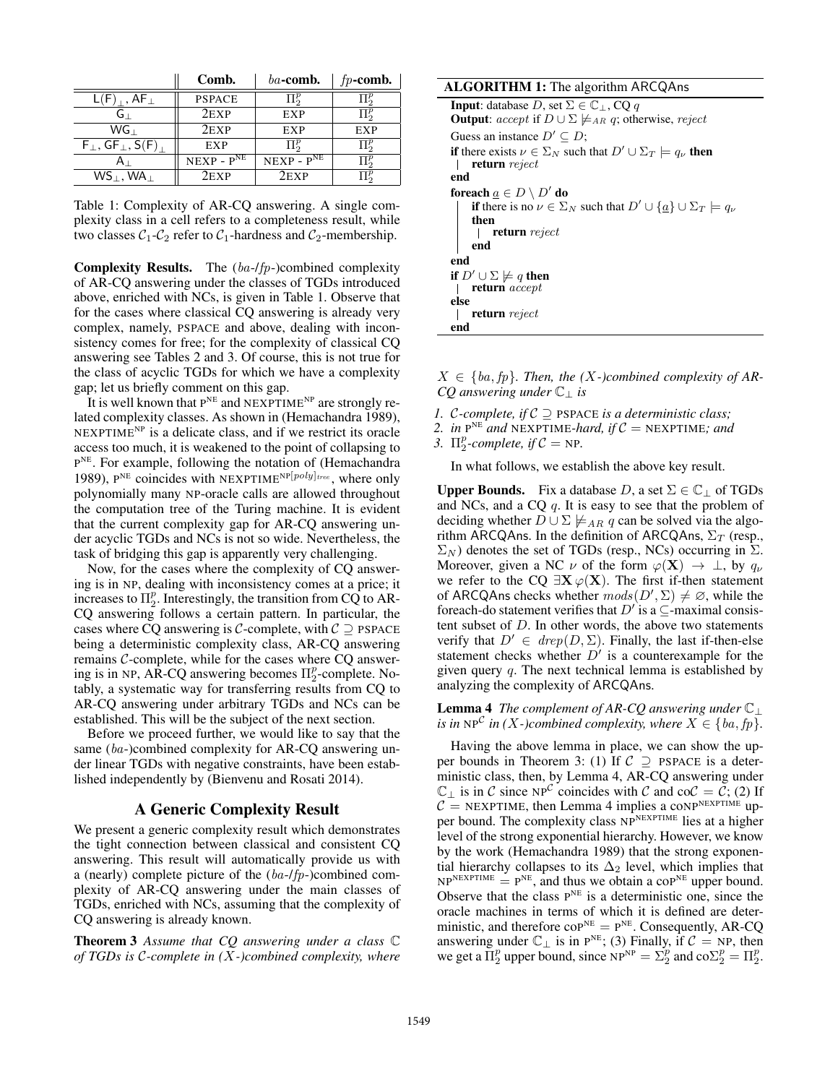|                                                        | Comb.         | $ba$ -comb.      | $fp$ -comb.   |
|--------------------------------------------------------|---------------|------------------|---------------|
| $L(F)$ , $AF_{\perp}$                                  | <b>PSPACE</b> | $\Pi^p_2$        | $\Pi_\circ^p$ |
| G L                                                    | $2$ EXP       | EXP              | $\Pi_\circ^p$ |
| $WG_{\perp}$                                           | $2$ EXP       | EXP              | EXP           |
| $F_{\perp}$ , GF <sub><math>\perp</math></sub> , S(F), | EXP           | $\Pi^p_{\alpha}$ | $\Pi^p_\circ$ |
|                                                        | $NEXP - PNE$  | $NEXP - PNE$     | $\Pi^p_\cap$  |
| $WS_1, WA_1$                                           | $2$ EXP       | $2$ EXP          |               |

Table 1: Complexity of AR-CQ answering. A single complexity class in a cell refers to a completeness result, while two classes  $C_1$ - $C_2$  refer to  $C_1$ -hardness and  $C_2$ -membership.

Complexity Results. The (ba-/fp-)combined complexity of AR-CQ answering under the classes of TGDs introduced above, enriched with NCs, is given in Table 1. Observe that for the cases where classical CQ answering is already very complex, namely, PSPACE and above, dealing with inconsistency comes for free; for the complexity of classical CQ answering see Tables 2 and 3. Of course, this is not true for the class of acyclic TGDs for which we have a complexity gap; let us briefly comment on this gap.

It is well known that  $P<sup>NE</sup>$  and NEXPTIME<sup>NP</sup> are strongly related complexity classes. As shown in (Hemachandra 1989),  $NEXPTIME<sup>NP</sup>$  is a delicate class, and if we restrict its oracle access too much, it is weakened to the point of collapsing to P<sup>NE</sup>. For example, following the notation of (Hemachandra 1989),  $P^{NE}$  coincides with NEXPTIME<sup>NP[poly]<sub>tree</sub>, where only</sup> polynomially many NP-oracle calls are allowed throughout the computation tree of the Turing machine. It is evident that the current complexity gap for AR-CQ answering under acyclic TGDs and NCs is not so wide. Nevertheless, the task of bridging this gap is apparently very challenging.

Now, for the cases where the complexity of CQ answering is in NP, dealing with inconsistency comes at a price; it increases to  $\Pi_2^p$ . Interestingly, the transition from CQ to AR-CQ answering follows a certain pattern. In particular, the cases where CQ answering is C-complete, with  $C \supseteq PSPACE$ being a deterministic complexity class, AR-CQ answering remains  $C$ -complete, while for the cases where  $CQ$  answering is in NP, AR-CQ answering becomes  $\Pi_2^p$ -complete. Notably, a systematic way for transferring results from CQ to AR-CQ answering under arbitrary TGDs and NCs can be established. This will be the subject of the next section.

Before we proceed further, we would like to say that the same (ba-)combined complexity for AR-CQ answering under linear TGDs with negative constraints, have been established independently by (Bienvenu and Rosati 2014).

## A Generic Complexity Result

We present a generic complexity result which demonstrates the tight connection between classical and consistent CQ answering. This result will automatically provide us with a (nearly) complete picture of the (ba-/fp-)combined complexity of AR-CQ answering under the main classes of TGDs, enriched with NCs, assuming that the complexity of CQ answering is already known.

Theorem 3 *Assume that CQ answering under a class* C *of TGDs is* C*-complete in (*X*-)combined complexity, where*

### ALGORITHM 1: The algorithm ARCQAns **Input:** database  $D$ , set  $\Sigma \in \mathbb{C}_+$ , CQ q **Output:** accept if  $D \cup \Sigma \not\models_{AR} q$ ; otherwise, reject Guess an instance  $D' \subseteq D$ ; if there exists  $\nu \in \Sigma_N$  such that  $D' \cup \Sigma_T \models q_{\nu}$  then return reject end foreach  $\underline{a} \in D \setminus D'$  do if there is no  $\nu \in \Sigma_N$  such that  $D' \cup {\underline{a}} \cup \Sigma_T \models q_{\nu}$ then return reject end end if  $D' \cup \Sigma \not\models q$  then return accept else return reject end

 $X \in \{ba, fp\}$ . Then, the  $(X-) combined$  complexity of AR-*CQ answering under* C<sup>⊥</sup> *is*

- *1.* C*-complete, if* C ⊇ PSPACE *is a deterministic class;*
- 2. *in*  $P^{NE}$  *and* NEXPTIME-hard, if  $C = NEX$ PTIME; and
- *3.*  $\Pi_2^p$ -complete, if  $C = NP$ .

In what follows, we establish the above key result.

**Upper Bounds.** Fix a database D, a set  $\Sigma \in \mathbb{C}$  of TGDs and NCs, and a CQ  $q$ . It is easy to see that the problem of deciding whether  $D \cup \Sigma \not\models_{AR} q$  can be solved via the algorithm ARCQAns. In the definition of ARCQAns,  $\Sigma_T$  (resp.,  $\Sigma_N$ ) denotes the set of TGDs (resp., NCs) occurring in  $\Sigma$ . Moreover, given a NC  $\nu$  of the form  $\varphi(\mathbf{X}) \to \bot$ , by  $q_{\nu}$ we refer to the CQ  $\exists X \varphi(X)$ . The first if-then statement of ARCQAns checks whether  ${mods}(D',\Sigma) \neq \emptyset$ , while the foreach-do statement verifies that  $D'$  is a  $\subseteq$ -maximal consistent subset of  $D$ . In other words, the above two statements verify that  $D' \in \text{drop}(D, \Sigma)$ . Finally, the last if-then-else statement checks whether  $D'$  is a counterexample for the given query  $q$ . The next technical lemma is established by analyzing the complexity of ARCQAns.

## Lemma 4 *The complement of AR-CQ answering under* C<sup>⊥</sup> *is in*  $NP^{\mathcal{C}}$  *in* (*X*-)combined complexity, where  $X \in \{ba, fp\}$ .

Having the above lemma in place, we can show the upper bounds in Theorem 3: (1) If  $C \supseteq PSPACE$  is a deterministic class, then, by Lemma 4, AR-CQ answering under  $\mathbb{C}_{\perp}$  is in C since NP<sup>C</sup> coincides with C and co $\mathcal{C} = \mathcal{C}$ ; (2) If  $C = \text{NEXPTIME}$ , then Lemma 4 implies a coNPNEXPTIME upper bound. The complexity class NPNEXPTIME lies at a higher level of the strong exponential hierarchy. However, we know by the work (Hemachandra 1989) that the strong exponential hierarchy collapses to its  $\Delta_2$  level, which implies that  $NP<sup>NEXPTIME</sup> = P<sup>NE</sup>$ , and thus we obtain a co $P<sup>NE</sup>$  upper bound. Observe that the class  $P<sup>NE</sup>$  is a deterministic one, since the oracle machines in terms of which it is defined are deterministic, and therefore  $\text{coP}^{\text{NE}} = \text{P}^{\text{NE}}$ . Consequently, AR-CQ answering under  $\mathbb{C}_{\perp}$  is in P<sup>NE</sup>; (3) Finally, if  $\mathcal{C} = NP$ , then we get a  $\Pi_2^p$  upper bound, since  $NP^{NP} = \sum_{i=2}^{p}$  and  $co\sum_{i=2}^{p} = \Pi_2^p$ .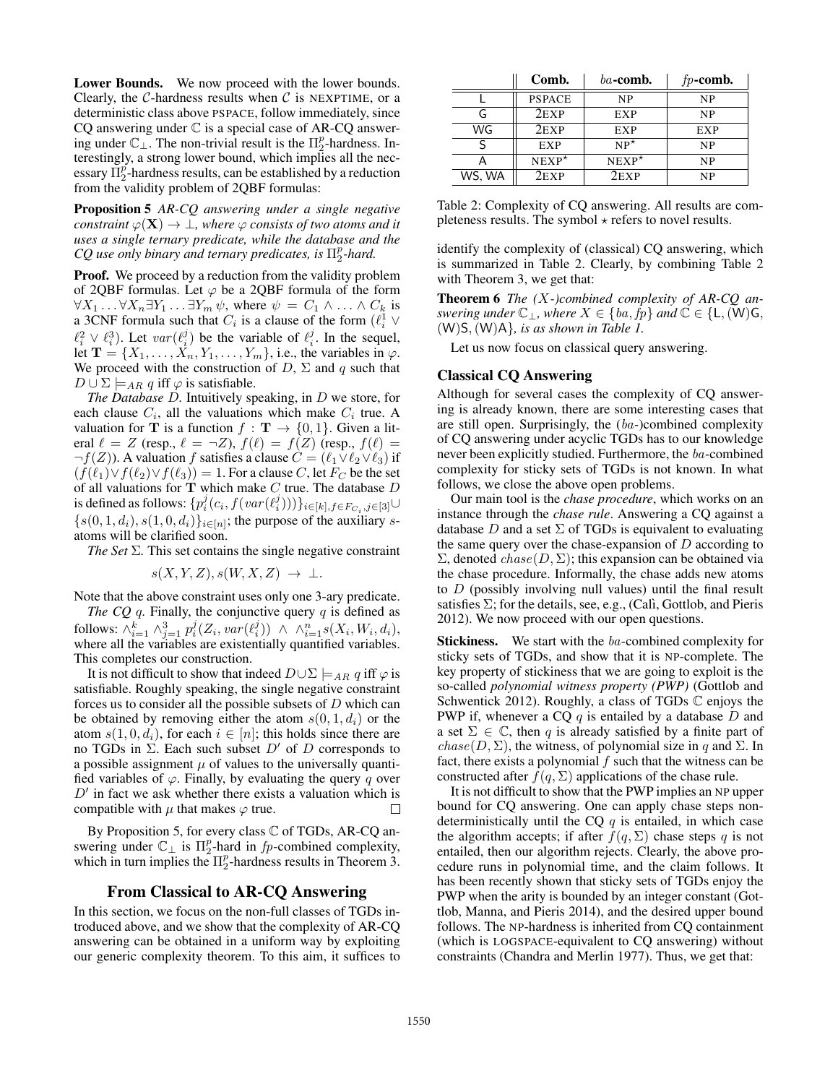Lower Bounds. We now proceed with the lower bounds. Clearly, the  $C$ -hardness results when  $C$  is NEXPTIME, or a deterministic class above PSPACE, follow immediately, since CQ answering under  $\mathbb C$  is a special case of AR-CQ answering under  $\mathbb{C}_\perp$ . The non-trivial result is the  $\Pi_2^p$ -hardness. Interestingly, a strong lower bound, which implies all the necessary  $\overline{\Pi}_2^p$ -hardness results, can be established by a reduction from the validity problem of 2QBF formulas:

Proposition 5 *AR-CQ answering under a single negative constraint*  $\varphi(\mathbf{X}) \to \bot$ , where  $\varphi$  *consists of two atoms and it uses a single ternary predicate, while the database and the*  $CQ$  use only binary and ternary predicates, is  $\Pi_2^p$ -hard.

Proof. We proceed by a reduction from the validity problem of 2QBF formulas. Let  $\varphi$  be a 2QBF formula of the form  $\forall X_1 \dots \forall X_n \exists Y_1 \dots \exists Y_m \psi$ , where  $\psi = C_1 \land \dots \land C_k$  is a 3CNF formula such that  $C_i$  is a clause of the form  $(\ell_i^1 \vee$  $\ell_i^2 \vee \ell_i^3$ ). Let  $var(\ell_i^j)$  be the variable of  $\ell_i^j$ . In the sequel, let  $\mathbf{T} = \{X_1, \ldots, X_n, Y_1, \ldots, Y_m\}$ , i.e., the variables in  $\varphi$ . We proceed with the construction of  $D$ ,  $\Sigma$  and  $q$  such that  $D \cup \Sigma \models_{AR} q$  iff  $\varphi$  is satisfiable.

*The Database* D*.* Intuitively speaking, in D we store, for each clause  $C_i$ , all the valuations which make  $C_i$  true. A valuation for **T** is a function  $f : \mathbf{T} \to \{0, 1\}$ . Given a literal  $\ell = Z$  (resp.,  $\ell = \neg Z$ ),  $f(\ell) = f(Z)$  (resp.,  $f(\ell) =$  $\neg f(Z)$ ). A valuation f satisfies a clause  $C = (\ell_1 \lor \ell_2 \lor \ell_3)$  if  $(f(\ell_1)\vee f(\ell_2)\vee f(\ell_3)) = 1$ . For a clause C, let  $F_C$  be the set of all valuations for  $T$  which make  $C$  true. The database  $D$ is defined as follows:  $\{p_i^j(c_i, f(var(\ell_i^j)))\}_{i \in [k], f \in F_{C_i}, j \in [3]} \cup$  ${s(0, 1, d_i), s(1, 0, d_i)}_{i \in [n]}$ ; the purpose of the auxiliary satoms will be clarified soon.

*The Set* Σ*.* This set contains the single negative constraint

$$
s(X, Y, Z), s(W, X, Z) \rightarrow \bot.
$$

Note that the above constraint uses only one 3-ary predicate.

*The CQ q.* Finally, the conjunctive query  $q$  is defined as follows:  $\wedge_{i=1}^k \wedge_{j=1}^3 p_i^j(Z_i, var(\ell_i^j)) \wedge \wedge_{i=1}^n s(X_i, W_i, d_i),$ where all the variables are existentially quantified variables. This completes our construction.

It is not difficult to show that indeed  $D \cup \Sigma \models_{AR} q$  iff  $\varphi$  is satisfiable. Roughly speaking, the single negative constraint forces us to consider all the possible subsets of  $D$  which can be obtained by removing either the atom  $s(0, 1, d_i)$  or the atom  $s(1, 0, d_i)$ , for each  $i \in [n]$ ; this holds since there are no TGDs in  $\Sigma$ . Each such subset D' of D corresponds to a possible assignment  $\mu$  of values to the universally quantified variables of  $\varphi$ . Finally, by evaluating the query q over  $D'$  in fact we ask whether there exists a valuation which is compatible with  $\mu$  that makes  $\varphi$  true.  $\Box$ 

By Proposition 5, for every class C of TGDs, AR-CQ answering under  $\mathbb{C}_\perp$  is  $\Pi_2^p$ -hard in fp-combined complexity, which in turn implies the  $\Pi_2^p$ -hardness results in Theorem 3.

## From Classical to AR-CQ Answering

In this section, we focus on the non-full classes of TGDs introduced above, and we show that the complexity of AR-CQ answering can be obtained in a uniform way by exploiting our generic complexity theorem. To this aim, it suffices to

|        | Comb.         | $ba$ -comb.    | $fp$ -comb. |
|--------|---------------|----------------|-------------|
|        | <b>PSPACE</b> | NP             | NP          |
|        | 2EXP          | <b>EXP</b>     | <b>NP</b>   |
| WG     | $2$ EXP       | EXP            | EXP         |
|        | <b>EXP</b>    | $NP^{\star}$   | <b>NP</b>   |
|        | $NEXP^*$      | $NEXP^{\star}$ | NP          |
| WS, WA | 2EXP          | 2exp           | NP          |

Table 2: Complexity of CQ answering. All results are completeness results. The symbol  $\star$  refers to novel results.

identify the complexity of (classical) CQ answering, which is summarized in Table 2. Clearly, by combining Table 2 with Theorem 3, we get that:

Theorem 6 *The (*X*-)combined complexity of AR-CQ answering under*  $\mathbb{C}_\perp$ *, where*  $X \in \{ba, fp\}$  *and*  $\mathbb{C} \in \{\mathsf{L}, (\mathsf{W})\mathsf{G}, \mathsf{L}\}$ (W)S,(W)A}*, is as shown in Table 1.*

Let us now focus on classical query answering.

## Classical CQ Answering

Although for several cases the complexity of CQ answering is already known, there are some interesting cases that are still open. Surprisingly, the (ba-)combined complexity of CQ answering under acyclic TGDs has to our knowledge never been explicitly studied. Furthermore, the ba-combined complexity for sticky sets of TGDs is not known. In what follows, we close the above open problems.

Our main tool is the *chase procedure*, which works on an instance through the *chase rule*. Answering a CQ against a database D and a set  $\Sigma$  of TGDs is equivalent to evaluating the same query over the chase-expansion of  $D$  according to  $\Sigma$ , denoted *chase*( $D$ ,  $\Sigma$ ); this expansion can be obtained via the chase procedure. Informally, the chase adds new atoms to D (possibly involving null values) until the final result satisfies  $\Sigma$ ; for the details, see, e.g., (Calì, Gottlob, and Pieris 2012). We now proceed with our open questions.

**Stickiness.** We start with the ba-combined complexity for sticky sets of TGDs, and show that it is NP-complete. The key property of stickiness that we are going to exploit is the so-called *polynomial witness property (PWP)* (Gottlob and Schwentick 2012). Roughly, a class of TGDs  $\mathbb C$  enjoys the PWP if, whenever a CQ  $q$  is entailed by a database  $D$  and a set  $\Sigma \in \mathbb{C}$ , then q is already satisfied by a finite part of  $chase(D, \Sigma)$ , the witness, of polynomial size in q and  $\Sigma$ . In fact, there exists a polynomial  $f$  such that the witness can be constructed after  $f(q, \Sigma)$  applications of the chase rule.

It is not difficult to show that the PWP implies an NP upper bound for CQ answering. One can apply chase steps nondeterministically until the CQ  $q$  is entailed, in which case the algorithm accepts; if after  $f(q, \Sigma)$  chase steps q is not entailed, then our algorithm rejects. Clearly, the above procedure runs in polynomial time, and the claim follows. It has been recently shown that sticky sets of TGDs enjoy the PWP when the arity is bounded by an integer constant (Gottlob, Manna, and Pieris 2014), and the desired upper bound follows. The NP-hardness is inherited from CQ containment (which is LOGSPACE-equivalent to CQ answering) without constraints (Chandra and Merlin 1977). Thus, we get that: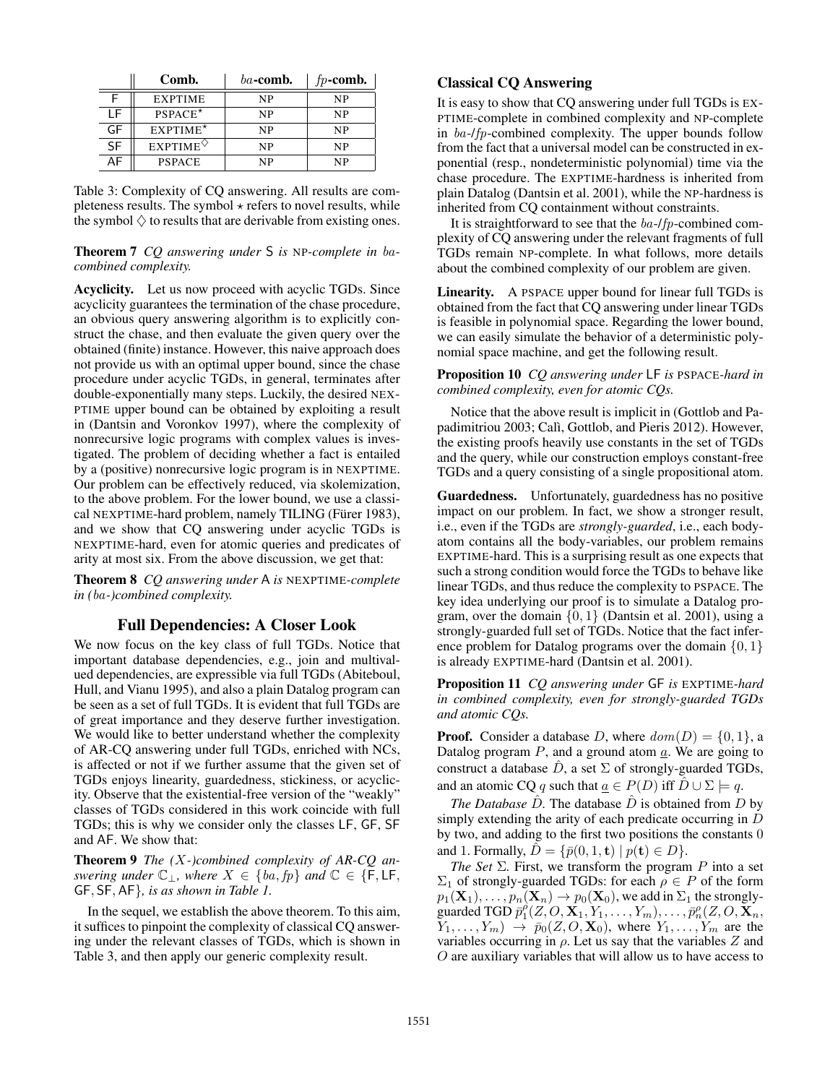|           | Comb.            | $ba$ -comb. | $fp$ -comb. |
|-----------|------------------|-------------|-------------|
|           | <b>EXPTIME</b>   | NP          | NP          |
| l F       | $PSPACE^*$       | <b>NP</b>   | <b>NP</b>   |
| GF        | $EXPTIME*$       | NP          | NP          |
| <b>SF</b> | $EXPTIME^{\vee}$ | <b>NP</b>   | NP          |
| A⊦        | <b>PSPACE</b>    | NP          | NP          |

Table 3: Complexity of CQ answering. All results are completeness results. The symbol  $\star$  refers to novel results, while the symbol  $\Diamond$  to results that are derivable from existing ones.

## Theorem 7 *CQ answering under* S *is* NP*-complete in* ba*combined complexity.*

Acyclicity. Let us now proceed with acyclic TGDs. Since acyclicity guarantees the termination of the chase procedure, an obvious query answering algorithm is to explicitly construct the chase, and then evaluate the given query over the obtained (finite) instance. However, this naive approach does not provide us with an optimal upper bound, since the chase procedure under acyclic TGDs, in general, terminates after double-exponentially many steps. Luckily, the desired NEX-PTIME upper bound can be obtained by exploiting a result in (Dantsin and Voronkov 1997), where the complexity of nonrecursive logic programs with complex values is investigated. The problem of deciding whether a fact is entailed by a (positive) nonrecursive logic program is in NEXPTIME. Our problem can be effectively reduced, via skolemization, to the above problem. For the lower bound, we use a classical NEXPTIME-hard problem, namely TILING (Fürer 1983), and we show that CQ answering under acyclic TGDs is NEXPTIME-hard, even for atomic queries and predicates of arity at most six. From the above discussion, we get that:

Theorem 8 *CQ answering under* A *is* NEXPTIME*-complete in (*ba*-)combined complexity.*

## Full Dependencies: A Closer Look

We now focus on the key class of full TGDs. Notice that important database dependencies, e.g., join and multivalued dependencies, are expressible via full TGDs (Abiteboul, Hull, and Vianu 1995), and also a plain Datalog program can be seen as a set of full TGDs. It is evident that full TGDs are of great importance and they deserve further investigation. We would like to better understand whether the complexity of AR-CQ answering under full TGDs, enriched with NCs, is affected or not if we further assume that the given set of TGDs enjoys linearity, guardedness, stickiness, or acyclicity. Observe that the existential-free version of the "weakly" classes of TGDs considered in this work coincide with full TGDs; this is why we consider only the classes LF, GF, SF and AF. We show that:

Theorem 9 *The (*X*-)combined complexity of AR-CQ answering under*  $\mathbb{C}_\perp$ *, where*  $X \in \{ba, fp\}$  *and*  $\mathbb{C} \in \{F, LF, F\}$ GF, SF, AF}*, is as shown in Table 1.*

In the sequel, we establish the above theorem. To this aim, it suffices to pinpoint the complexity of classical CQ answering under the relevant classes of TGDs, which is shown in Table 3, and then apply our generic complexity result.

# Classical CQ Answering

It is easy to show that CQ answering under full TGDs is EX-PTIME-complete in combined complexity and NP-complete in  $ba$ -/fp-combined complexity. The upper bounds follow from the fact that a universal model can be constructed in exponential (resp., nondeterministic polynomial) time via the chase procedure. The EXPTIME-hardness is inherited from plain Datalog (Dantsin et al. 2001), while the NP-hardness is inherited from CQ containment without constraints.

It is straightforward to see that the ba-/fp-combined complexity of CQ answering under the relevant fragments of full TGDs remain NP-complete. In what follows, more details about the combined complexity of our problem are given.

Linearity. A PSPACE upper bound for linear full TGDs is obtained from the fact that CQ answering under linear TGDs is feasible in polynomial space. Regarding the lower bound, we can easily simulate the behavior of a deterministic polynomial space machine, and get the following result.

### Proposition 10 *CQ answering under* LF *is* PSPACE*-hard in combined complexity, even for atomic CQs.*

Notice that the above result is implicit in (Gottlob and Papadimitriou 2003; Calì, Gottlob, and Pieris 2012). However, the existing proofs heavily use constants in the set of TGDs and the query, while our construction employs constant-free TGDs and a query consisting of a single propositional atom.

Guardedness. Unfortunately, guardedness has no positive impact on our problem. In fact, we show a stronger result, i.e., even if the TGDs are *strongly-guarded*, i.e., each bodyatom contains all the body-variables, our problem remains EXPTIME-hard. This is a surprising result as one expects that such a strong condition would force the TGDs to behave like linear TGDs, and thus reduce the complexity to PSPACE. The key idea underlying our proof is to simulate a Datalog program, over the domain  $\{0, 1\}$  (Dantsin et al. 2001), using a strongly-guarded full set of TGDs. Notice that the fact inference problem for Datalog programs over the domain  $\{0, 1\}$ is already EXPTIME-hard (Dantsin et al. 2001).

Proposition 11 *CQ answering under* GF *is* EXPTIME*-hard in combined complexity, even for strongly-guarded TGDs and atomic CQs.*

**Proof.** Consider a database D, where  $dom(D) = \{0, 1\}$ , a Datalog program  $P$ , and a ground atom  $a$ . We are going to construct a database  $\hat{D}$ , a set  $\Sigma$  of strongly-guarded TGDs, and an atomic CQ q such that  $\underline{a} \in P(D)$  iff  $\hat{D} \cup \Sigma \models q$ .

*The Database*  $\hat{D}$ . The database  $\hat{D}$  is obtained from  $D$  by simply extending the arity of each predicate occurring in D by two, and adding to the first two positions the constants 0 and 1. Formally,  $\hat{D} = \{\bar{p}(0, 1, \mathbf{t}) \mid p(\mathbf{t}) \in D\}.$ 

*The Set*  $\Sigma$ . First, we transform the program  $P$  into a set  $\Sigma_1$  of strongly-guarded TGDs: for each  $\rho \in P$  of the form  $p_1(\mathbf{X}_1), \ldots, p_n(\mathbf{X}_n) \to p_0(\mathbf{X}_0)$ , we add in  $\Sigma_1$  the stronglyguarded TGD  $\overline{p}_1^{\rho}(Z, O, \mathbf{X}_1, Y_1, \dots, Y_m), \dots, \overline{p}_n^{\rho}(Z, O, \mathbf{X}_n)$  $Y_1, \ldots, Y_m) \rightarrow \bar{p}_0(Z, O, \mathbf{X}_0)$ , where  $Y_1, \ldots, Y_m$  are the variables occurring in  $\rho$ . Let us say that the variables Z and O are auxiliary variables that will allow us to have access to